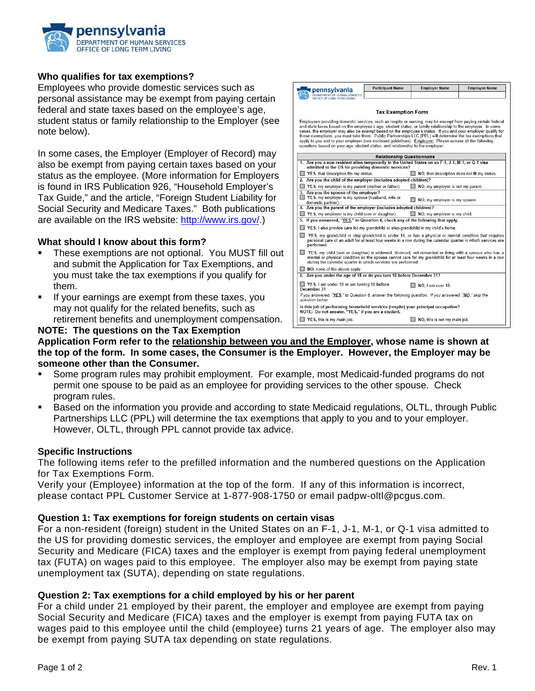

#### **Who qualifies for tax exemptions?**

Employees who provide domestic services such as personal assistance may be exempt from paying certain federal and state taxes based on the employee's age, student status or family relationship to the Employer (see note below).

In some cases, the Employer (Employer of Record) may also be exempt from paying certain taxes based on your status as the employee. (More information for Employers is found in IRS Publication 926, "Household Employer's Tax Guide," and the article, "Foreign Student Liability for Social Security and Medicare Taxes." Both publications are available on the IRS website: [http://www.irs.gov/.](http://www.irs.gov/))

#### **What should I know about this form?**

- **These exemptions are not optional. You MUST fill out** and submit the Application for Tax Exemptions, and you must take the tax exemptions if you qualify for them.
- If your earnings are exempt from these taxes, you may not qualify for the related benefits, such as retirement benefits and unemployment compensation.



# **NOTE: The questions on the Tax Exemption**

**Application Form refer to the relationship between you and the Employer, whose name is shown at the top of the form. In some cases, the Consumer is the Employer. However, the Employer may be someone other than the Consumer.** 

- Some program rules may prohibit employment. For example, most Medicaid-funded programs do not permit one spouse to be paid as an employee for providing services to the other spouse. Check program rules.
- **Based on the information you provide and according to state Medicaid regulations, OLTL, through Public** Partnerships LLC (PPL) will determine the tax exemptions that apply to you and to your employer. However, OLTL, through PPL cannot provide tax advice.

## **Specific Instructions**

The following items refer to the prefilled information and the numbered questions on the Application for Tax Exemptions Form.

Verify your (Employee) information at the top of the form. If any of this information is incorrect, please contact PPL Customer Service at 1-877-908-1750 or email padpw-oltl@pcgus.com.

## **Question 1: Tax exemptions for foreign students on certain visas**

For a non-resident (foreign) student in the United States on an F-1, J-1, M-1, or Q-1 visa admitted to the US for providing domestic services, the employer and employee are exempt from paying Social Security and Medicare (FICA) taxes and the employer is exempt from paying federal unemployment tax (FUTA) on wages paid to this employee. The employer also may be exempt from paying state unemployment tax (SUTA), depending on state regulations.

## **Question 2: Tax exemptions for a child employed by his or her parent**

For a child under 21 employed by their parent, the employer and employee are exempt from paying Social Security and Medicare (FICA) taxes and the employer is exempt from paying FUTA tax on wages paid to this employee until the child (employee) turns 21 years of age. The employer also may be exempt from paying SUTA tax depending on state regulations.